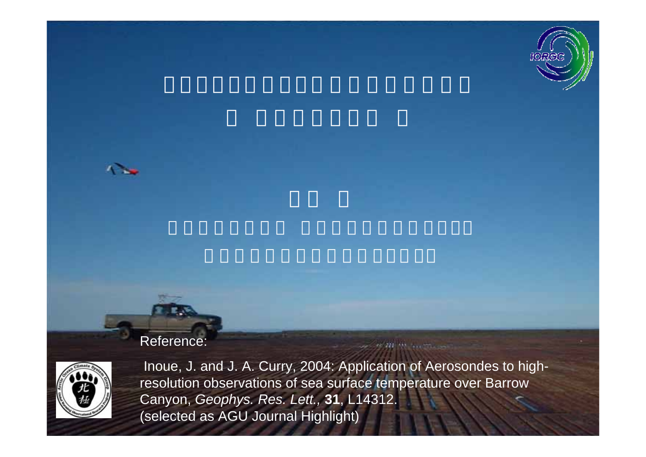



#### Reference:



Inoue, J. and J. A. Curry, 2004: Application of Aerosondes to highresolution observations of sea surface temperature over Barrow Canyon, *Geophys. Res. Lett.,* **31**, L14312. (selected as AGU Journal Highlight)

 $20 - 11$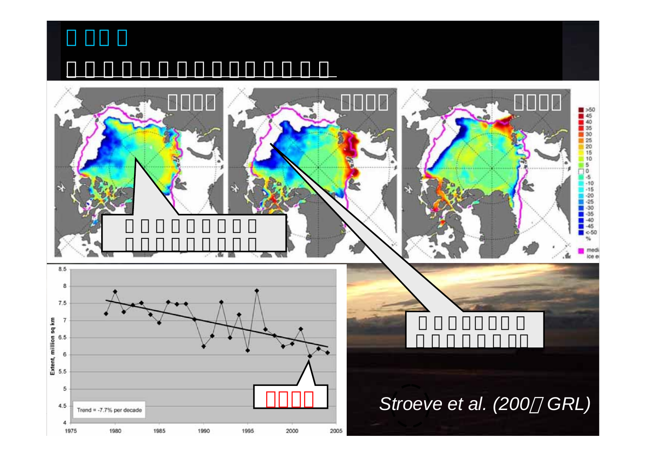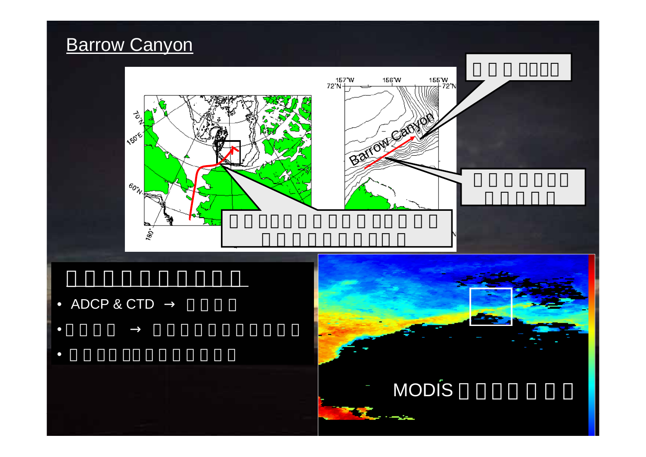# **Barrow Canyon**



- •ADCP & CTD
- •
- •

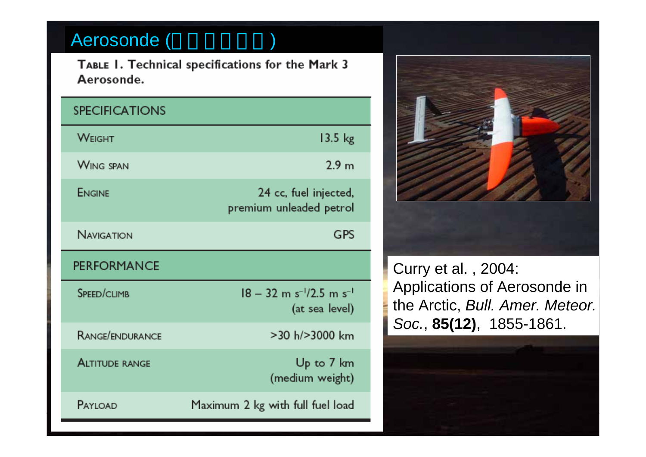# Aerosonde ( )

TABLE 1. Technical specifications for the Mark 3 Aerosonde.

| <b>SPECIFICATIONS</b> |                                                                      |
|-----------------------|----------------------------------------------------------------------|
| <b>WEIGHT</b>         | $13.5$ kg                                                            |
| <b>WING SPAN</b>      | 2.9 <sub>m</sub>                                                     |
| ENGINE                | 24 cc, fuel injected,<br>premium unleaded petrol                     |
| <b>NAVIGATION</b>     | GPS                                                                  |
| <b>PERFORMANCE</b>    |                                                                      |
| SPEED/CLIMB           | $18 - 32$ m s <sup>-1</sup> /2.5 m s <sup>-1</sup><br>(at sea level) |
| RANGE/ENDURANCE       | $>$ 30 h/ $>$ 3000 km                                                |
| <b>ALTITUDE RANGE</b> | Up to 7 km<br>(medium weight)                                        |
| PAYLOAD               | Maximum 2 kg with full fuel load                                     |



Curry et al. , 2004: Applications of Aerosonde in the Arctic, *Bull. Amer. Meteor. Soc.*, **85(12)**, 1855-1861.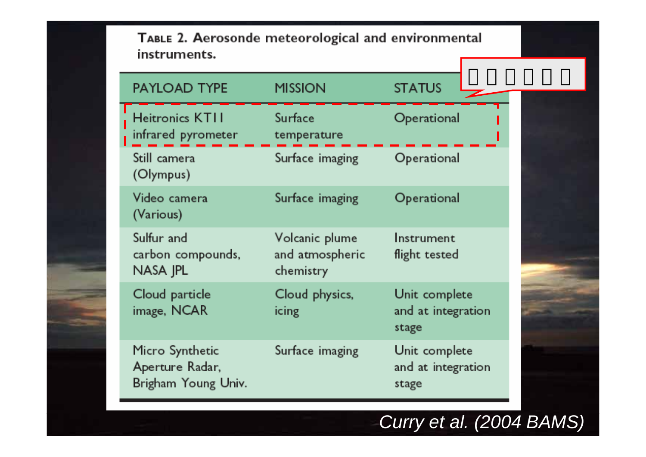#### TABLE 2. Aerosonde meteorological and environmental instruments.

| <b>PAYLOAD TYPE</b>                                       | <b>MISSION</b>                                 | <b>STATUS</b>                                |
|-----------------------------------------------------------|------------------------------------------------|----------------------------------------------|
| <b>Heitronics KTII</b><br>infrared pyrometer              | Surface<br>temperature                         | Operational                                  |
| Still camera<br>(Olympus)                                 | Surface imaging                                | Operational                                  |
| Video camera<br>(Various)                                 | Surface imaging                                | Operational                                  |
| Sulfur and<br>carbon compounds,<br>NASA JPL               | Volcanic plume<br>and atmospheric<br>chemistry | Instrument<br>flight tested                  |
| Cloud particle<br>image, NCAR                             | Cloud physics,<br>icing                        | Unit complete<br>and at integration<br>stage |
| Micro Synthetic<br>Aperture Radar,<br>Brigham Young Univ. | Surface imaging                                | Unit complete<br>and at integration<br>stage |

# *Curry et al. (2004 BAMS)*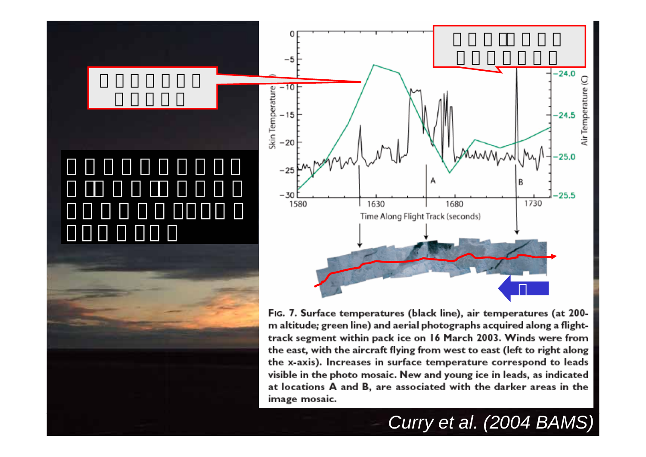



Fig. 7. Surface temperatures (black line), air temperatures (at 200m altitude; green line) and aerial photographs acquired along a flighttrack segment within pack ice on 16 March 2003. Winds were from the east, with the aircraft flying from west to east (left to right along the x-axis). Increases in surface temperature correspond to leads visible in the photo mosaic. New and young ice in leads, as indicated at locations A and B, are associated with the darker areas in the image mosaic.

# *Curry et al. (2004 BAMS)*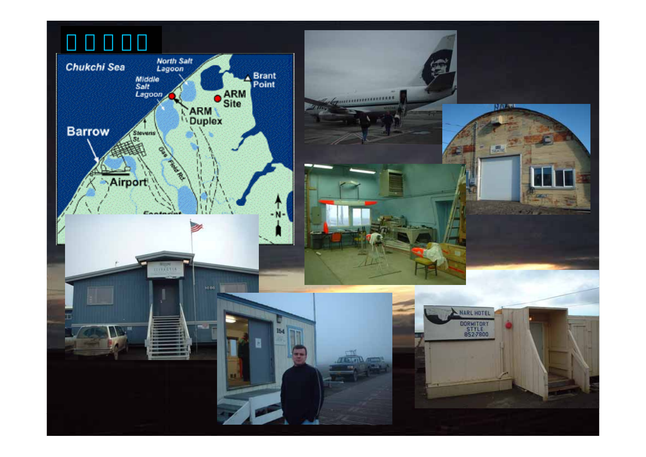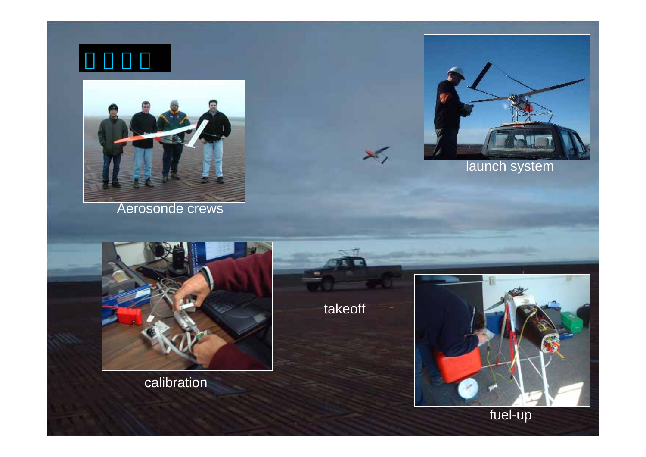

Aerosonde crews



launch system



calibration

takeoff

 $\cancel{\times}$ 



fuel-up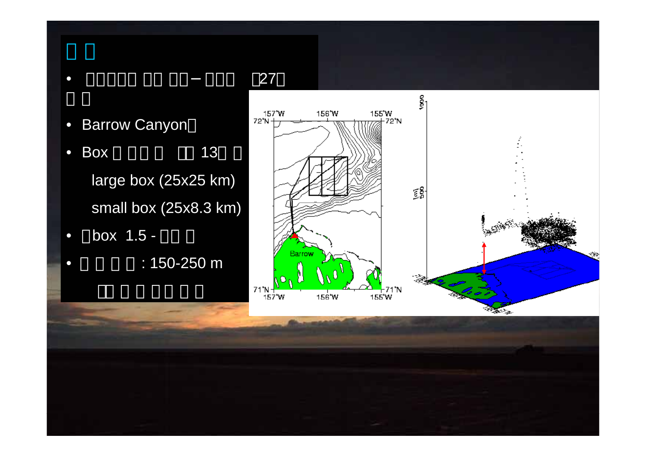#### •Barrow Canyon

 $\bullet$ 

 $\bullet$ 

- •**Box** x 13 large box (25x25 km) small box (25x8.3 km)
- $\cap$  box 1.5 -
	- : 150-250 m

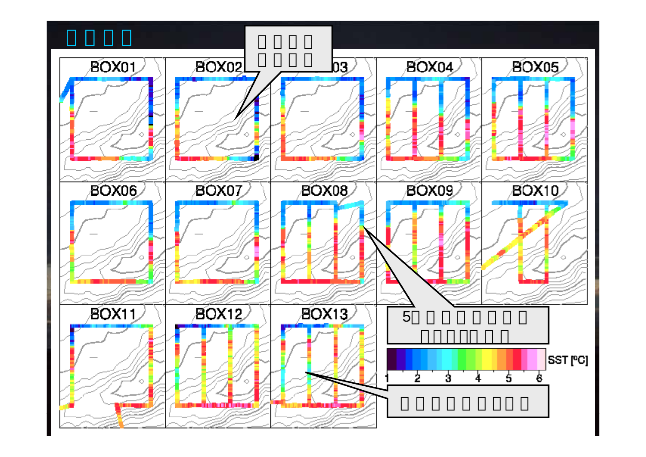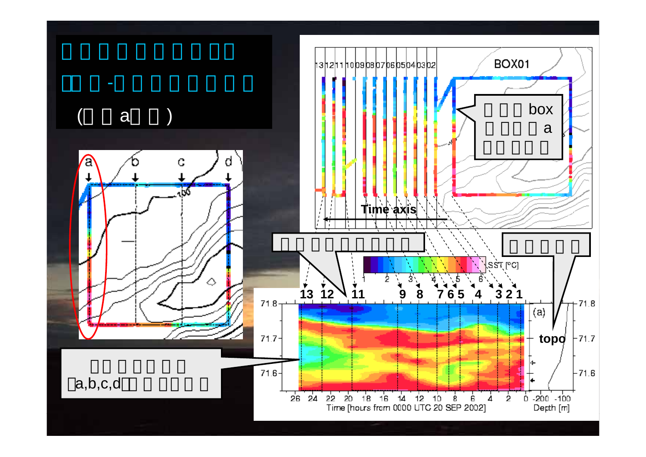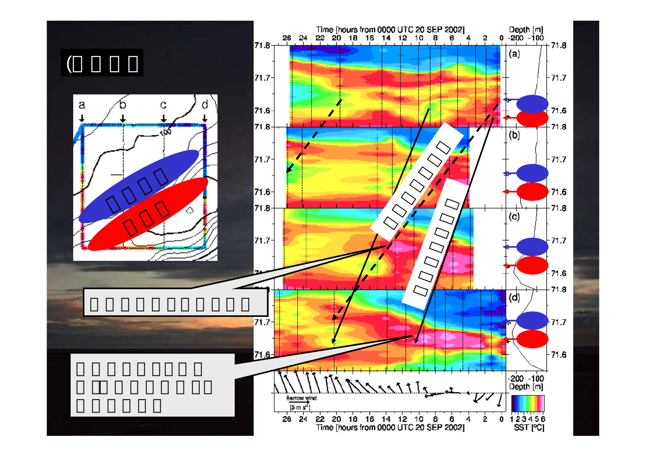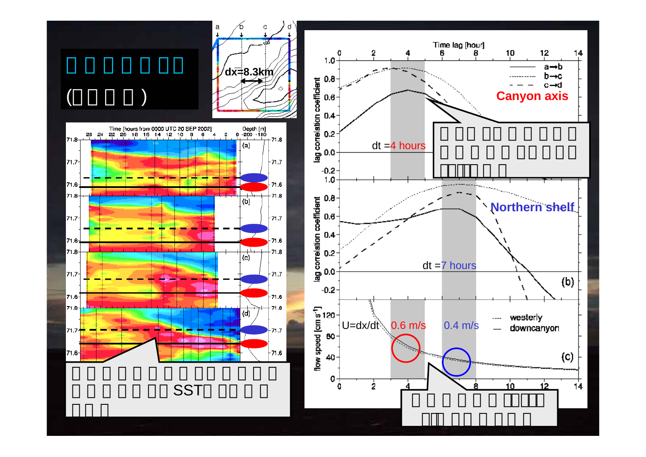



**SST**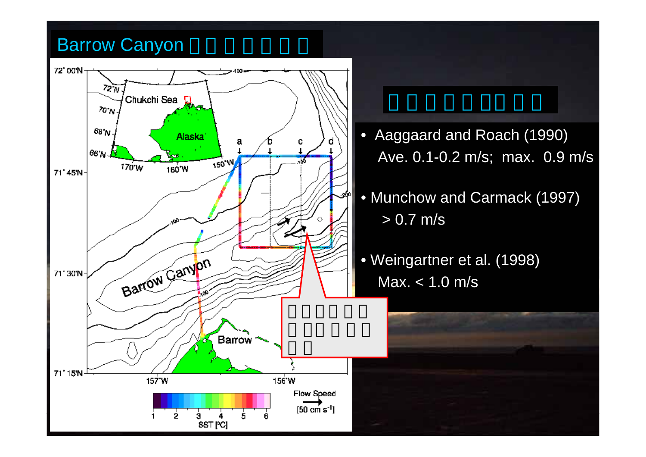### Barrow Canyon

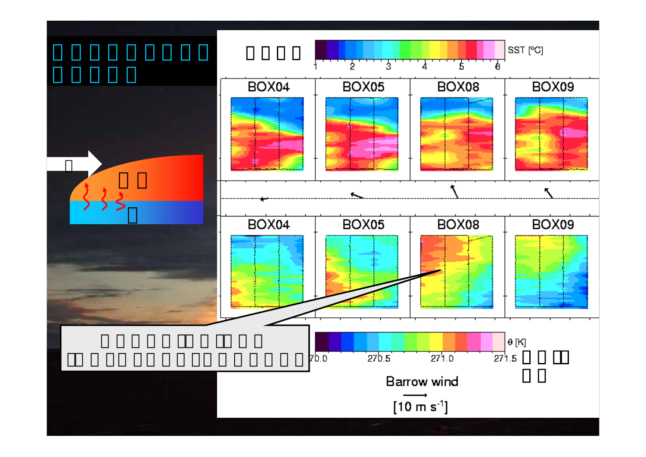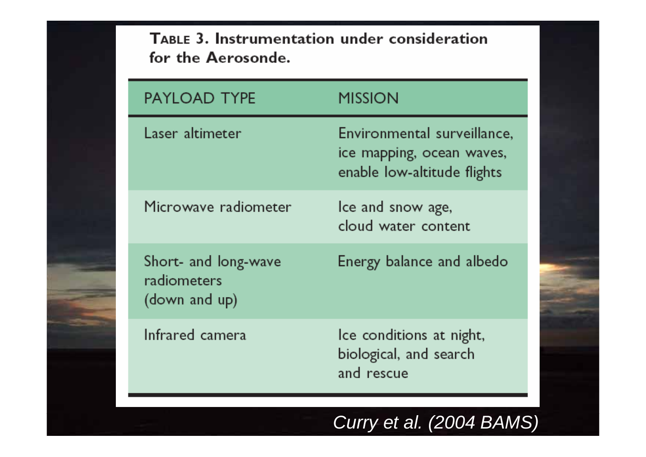TABLE 3. Instrumentation under consideration for the Aerosonde.

| <b>PAYLOAD TYPE</b>                                  | MISSION                                                                                 |
|------------------------------------------------------|-----------------------------------------------------------------------------------------|
| Laser altimeter                                      | Environmental surveillance,<br>ice mapping, ocean waves,<br>enable low-altitude flights |
| Microwave radiometer                                 | Ice and snow age,<br>cloud water content                                                |
| Short- and long-wave<br>radiometers<br>(down and up) | Energy balance and albedo                                                               |
| Infrared camera                                      | Ice conditions at night,<br>biological, and search<br>and rescue                        |

### *Curry et al. (2004 BAMS)*